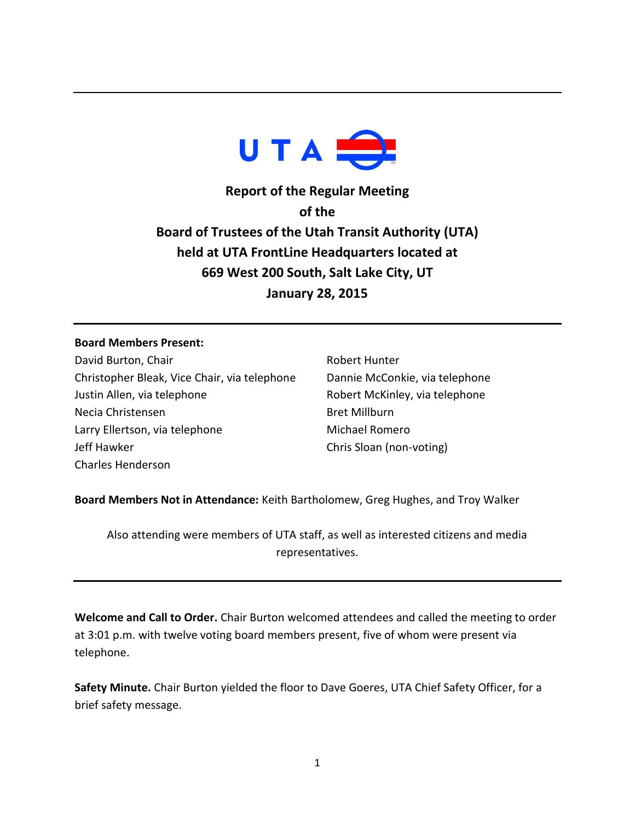

**Report of the Regular Meeting of the Board of Trustees of the Utah Transit Authority (UTA) held at UTA FrontLine Headquarters located at 669 West 200 South, Salt Lake City, UT January 28, 2015**

## **Board Members Present:**

David Burton, Chair Christopher Bleak, Vice Chair, via telephone Justin Allen, via telephone Necia Christensen Larry Ellertson, via telephone Jeff Hawker Charles Henderson

Robert Hunter Dannie McConkie, via telephone Robert McKinley, via telephone Bret Millburn Michael Romero Chris Sloan (non-voting)

**Board Members Not in Attendance:** Keith Bartholomew, Greg Hughes, and Troy Walker

Also attending were members of UTA staff, as well as interested citizens and media representatives.

**Welcome and Call to Order.** Chair Burton welcomed attendees and called the meeting to order at 3:01 p.m. with twelve voting board members present, five of whom were present via telephone.

**Safety Minute.** Chair Burton yielded the floor to Dave Goeres, UTA Chief Safety Officer, for a brief safety message.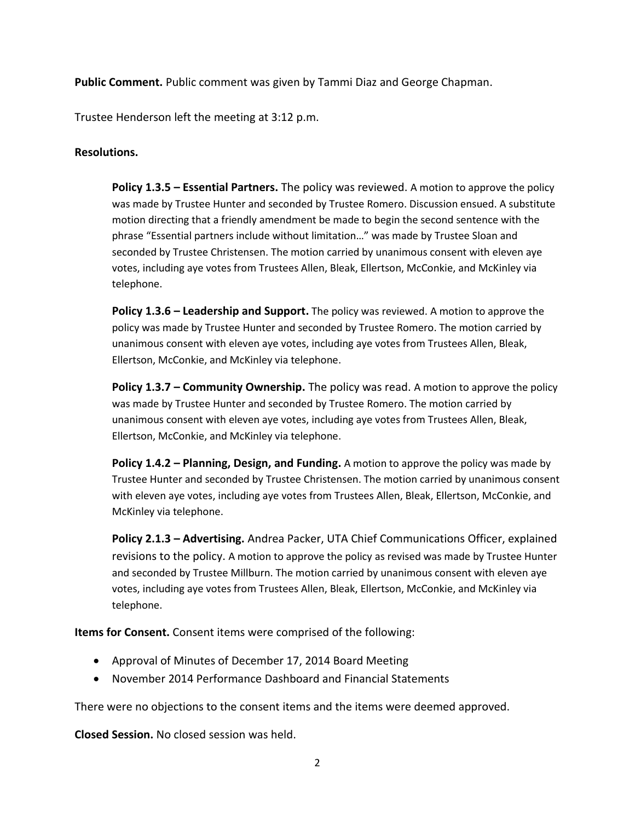**Public Comment.** Public comment was given by Tammi Diaz and George Chapman.

Trustee Henderson left the meeting at 3:12 p.m.

## **Resolutions.**

**Policy 1.3.5 – Essential Partners.** The policy was reviewed. A motion to approve the policy was made by Trustee Hunter and seconded by Trustee Romero. Discussion ensued. A substitute motion directing that a friendly amendment be made to begin the second sentence with the phrase "Essential partners include without limitation…" was made by Trustee Sloan and seconded by Trustee Christensen. The motion carried by unanimous consent with eleven aye votes, including aye votes from Trustees Allen, Bleak, Ellertson, McConkie, and McKinley via telephone.

**Policy 1.3.6 – Leadership and Support.** The policy was reviewed. A motion to approve the policy was made by Trustee Hunter and seconded by Trustee Romero. The motion carried by unanimous consent with eleven aye votes, including aye votes from Trustees Allen, Bleak, Ellertson, McConkie, and McKinley via telephone.

**Policy 1.3.7 – Community Ownership.** The policy was read. A motion to approve the policy was made by Trustee Hunter and seconded by Trustee Romero. The motion carried by unanimous consent with eleven aye votes, including aye votes from Trustees Allen, Bleak, Ellertson, McConkie, and McKinley via telephone.

**Policy 1.4.2 – Planning, Design, and Funding.** A motion to approve the policy was made by Trustee Hunter and seconded by Trustee Christensen. The motion carried by unanimous consent with eleven aye votes, including aye votes from Trustees Allen, Bleak, Ellertson, McConkie, and McKinley via telephone.

**Policy 2.1.3 – Advertising.** Andrea Packer, UTA Chief Communications Officer, explained revisions to the policy. A motion to approve the policy as revised was made by Trustee Hunter and seconded by Trustee Millburn. The motion carried by unanimous consent with eleven aye votes, including aye votes from Trustees Allen, Bleak, Ellertson, McConkie, and McKinley via telephone.

**Items for Consent.** Consent items were comprised of the following:

- Approval of Minutes of December 17, 2014 Board Meeting
- November 2014 Performance Dashboard and Financial Statements

There were no objections to the consent items and the items were deemed approved.

**Closed Session.** No closed session was held.